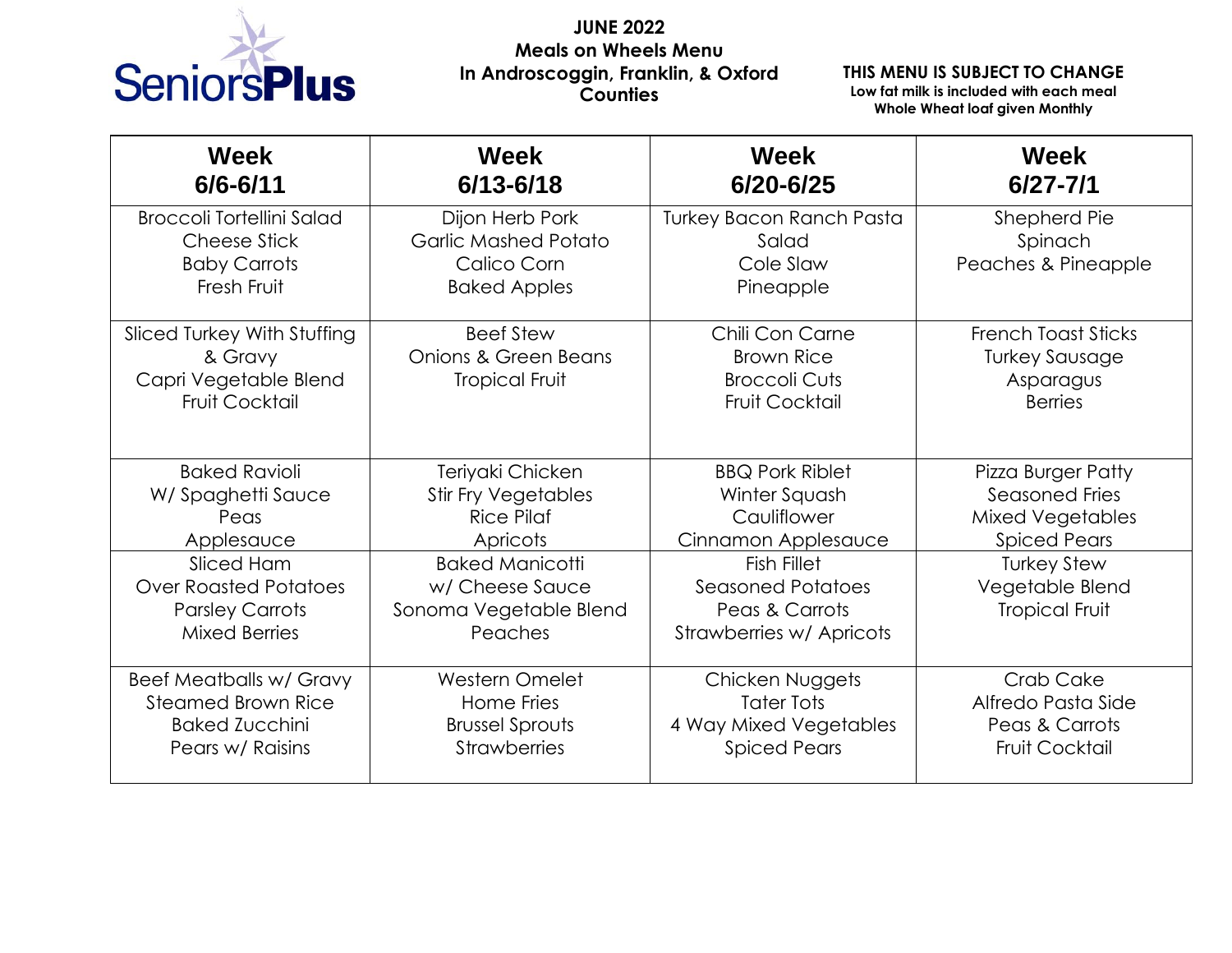

## **JUNE 2022 Meals on Wheels Menu In Androscoggin, Franklin, & Oxford Counties**

## **THIS MENU IS SUBJECT TO CHANGE**

**Low fat milk is included with each meal Whole Wheat loaf given Monthly**

| <b>Week</b><br>$6/6 - 6/11$                                                                                                                                     | <b>Week</b><br>$6/13 - 6/18$                                                                                                                                      | <b>Week</b><br>6/20-6/25                                                                                                                                                      | <b>Week</b><br>$6/27 - 7/1$                                                                                                                                     |
|-----------------------------------------------------------------------------------------------------------------------------------------------------------------|-------------------------------------------------------------------------------------------------------------------------------------------------------------------|-------------------------------------------------------------------------------------------------------------------------------------------------------------------------------|-----------------------------------------------------------------------------------------------------------------------------------------------------------------|
| <b>Broccoli Tortellini Salad</b><br><b>Cheese Stick</b><br><b>Baby Carrots</b><br>Fresh Fruit                                                                   | Dijon Herb Pork<br><b>Garlic Mashed Potato</b><br>Calico Corn<br><b>Baked Apples</b>                                                                              | <b>Turkey Bacon Ranch Pasta</b><br>Salad<br>Cole Slaw<br>Pineapple                                                                                                            | Shepherd Pie<br>Spinach<br>Peaches & Pineapple                                                                                                                  |
| Sliced Turkey With Stuffing<br>& Gravy<br>Capri Vegetable Blend<br>Fruit Cocktail                                                                               | <b>Beef Stew</b><br>Onions & Green Beans<br><b>Tropical Fruit</b>                                                                                                 | Chili Con Carne<br><b>Brown Rice</b><br><b>Broccoli Cuts</b><br>Fruit Cocktail                                                                                                | <b>French Toast Sticks</b><br><b>Turkey Sausage</b><br>Asparagus<br><b>Berries</b>                                                                              |
| <b>Baked Ravioli</b><br>W/Spaghetti Sauce<br>Peas<br>Applesauce<br>Sliced Ham<br><b>Over Roasted Potatoes</b><br><b>Parsley Carrots</b><br><b>Mixed Berries</b> | Teriyaki Chicken<br><b>Stir Fry Vegetables</b><br><b>Rice Pilaf</b><br>Apricots<br><b>Baked Manicotti</b><br>w/ Cheese Sauce<br>Sonoma Vegetable Blend<br>Peaches | <b>BBQ Pork Riblet</b><br>Winter Squash<br>Cauliflower<br>Cinnamon Applesauce<br><b>Fish Fillet</b><br><b>Seasoned Potatoes</b><br>Peas & Carrots<br>Strawberries w/ Apricots | <b>Pizza Burger Patty</b><br>Seasoned Fries<br><b>Mixed Vegetables</b><br><b>Spiced Pears</b><br><b>Turkey Stew</b><br>Vegetable Blend<br><b>Tropical Fruit</b> |
| <b>Beef Meatballs w/ Gravy</b><br><b>Steamed Brown Rice</b><br><b>Baked Zucchini</b><br>Pears w/ Raisins                                                        | Western Omelet<br>Home Fries<br><b>Brussel Sprouts</b><br><b>Strawberries</b>                                                                                     | Chicken Nuggets<br><b>Tater Tots</b><br>4 Way Mixed Vegetables<br><b>Spiced Pears</b>                                                                                         | Crab Cake<br>Alfredo Pasta Side<br>Peas & Carrots<br><b>Fruit Cocktail</b>                                                                                      |